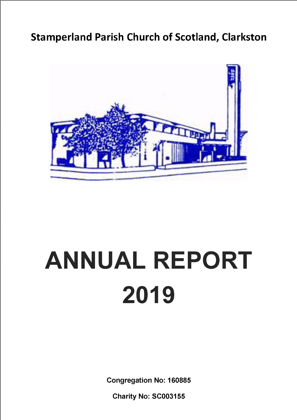# **Stamperland Parish Church of Scotland, Clarkston**



# **ANNUAL REPORT 2019**

**Congregation No: 160885**

**Charity No: SC003155**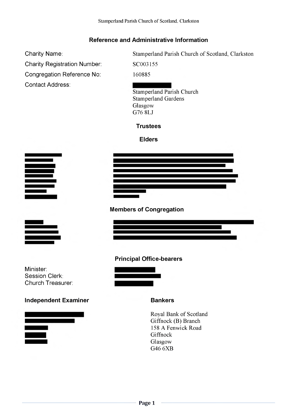## **Reference and Administrative Information**

Charity Name:

**Charity Registration Number:** 

Congregation Reference No:

**Contact Address:** 

Stamperland Parish Church of Scotland, Clarkston

SC003155

160885

Stamperland Parish Church **Stamperland Gardens** Glasgow G76 8LJ

## **Trustees**

**Elders** 



**Members of Congregation** 



Minister:

Session Clerk: Church Treasurer:

**Principal Office-bearers** 

## **Independent Examiner**



## **Bankers**

Royal Bank of Scotland Giffnock (B) Branch 158 A Fenwick Road Giffnock Glasgow G46 6XB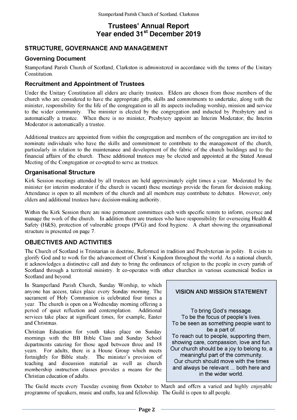## **Trustees' Annual Report** Year ended 31<sup>st</sup> December 2019

## **STRUCTURE, GOVERNANCE AND MANAGEMENT**

## **Governing Document**

Stamperland Parish Church of Scotland, Clarkston is administered in accordance with the terms of the Unitary Constitution.

## **Recruitment and Appointment of Trustees**

Under the Unitary Constitution all elders are charity trustees. Elders are chosen from those members of the church who are considered to have the appropriate gifts, skills and commitments to undertake, along with the minister, responsibility for the life of the congregation in all its aspects including worship, mission and service to the wider community. The minister is elected by the congregation and inducted by Presbytery and is automatically a trustee. When there is no minister, Presbytery appoint an Interim Moderator; the Interim Moderator is automatically a trustee.

Additional trustees are appointed from within the congregation and members of the congregation are invited to nominate individuals who have the skills and commitment to contribute to the management of the church, particularly in relation to the maintenance and development of the fabric of the church buildings and to the financial affairs of the church. These additional trustees may be elected and appointed at the Stated Annual Meeting of the Congregation or co-opted to serve as trustees.

## **Organisational Structure**

Kirk Session meetings attended by all trustees are held approximately eight times a year. Moderated by the minister (or interim moderator if the church is vacant) these meetings provide the forum for decision making. Attendance is open to all members of the church and all members may contribute to debates. However, only elders and additional trustees have decision-making authority.

Within the Kirk Session there are nine permanent committees each with specific remits to inform, oversee and manage the work of the church. In addition there are trustees who have responsibility for overseeing Health  $\&$ Safety (H&S), protection of vulnerable groups (PVG) and food hygiene. A chart showing the organisational structure is presented on page 7.

## **OBJECTIVES AND ACTIVITIES**

The Church of Scotland is Trinitarian in doctrine, Reformed in tradition and Presbyterian in polity. It exists to glorify God and to work for the advancement of Christ's Kingdom throughout the world. As a national church, it acknowledges a distinctive call and duty to bring the ordinances of religion to the people in every parish of Scotland through a territorial ministry. It co-operates with other churches in various ecumenical bodies in Scotland and beyond.

In Stamperland Parish Church, Sunday Worship, to which anyone has access, takes place every Sunday morning. The sacrament of Holy Communion is celebrated four times a year. The church is open on a Wednesday morning offering a period of quiet reflection and contemplation. Additional services take place at significant times, for example, Easter and Christmas.

Christian Education for youth takes place on Sunday mornings with the BB Bible Class and Sunday School departments catering for those aged between three and 18 years. For adults, there is a House Group which meets fortnightly for Bible study. The minister's provision of teaching and discussion material as well as church membership instruction classes provides a means for the Christian education of adults.



The Guild meets every Tuesday evening from October to March and offers a varied and highly enjoyable programme of speakers, music and crafts, tea and fellowship. The Guild is open to all people.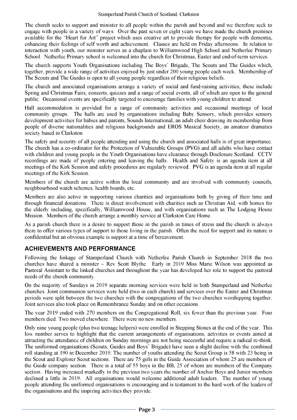The church seeks to support and minister to all people within the parish and beyond and we therefore seek to engage with people in a variety of ways. Over the past seven or eight years we have made the church premises available for the "Heart for Art" project which uses creative art to provide therapy for people with dementia, enhancing their feelings of self worth and achievement. Classes are held on Friday afternoons. In relation to interaction with youth, our minister serves as a chaplain to Williamwood High School and Netherlee Primary School. Netherlee Primary school is welcomed into the church for Christmas, Easter and end-of-term services.

The church supports Youth Organisations including The Boys' Brigade, The Scouts and The Guides which, together, provide a wide range of activities enjoyed by just under 200 young people each week. Membership of The Scouts and The Guides is open to all young people regardless of their religious beliefs.

The church and associated organisations arrange a variety of social and fund-raising activities; these include Spring and Christmas Fairs, concerts, quizzes and a range of social events, all of which are open to the general public. Occasional events are specifically targeted to encourage families with young children to attend.

Hall accommodation is provided for a range of community activities and occasional meetings of local community groups. The halls are used by organisations including Baby Sensory, which provides sensory development activities for babies and parents, Sounds International, an adult choir drawing its membership from people of diverse nationalities and religious backgrounds and EROS Musical Society, an amateur dramatics society based in Clarkston

The safety and security of all people attending and using the church and associated halls is of great importance. The church has a co-ordinator for the Protection of Vulnerable Groups (PVG) and all adults who have contact with children and young people in the Youth Organisations have clearance through Disclosure Scotland. CCTV recordings are made of people entering and leaving the halls. Health and Safety is an agenda item at all meetings of the Kirk Session and safety procedures are regularly reviewed. PVG is an agenda item at all regular meetings of the Kirk Session.

Members of the church are active within the local community and are involved with community councils, neighbourhood watch schemes, health boards, etc..

Members are also active in supporting various charities and organisations both by giving of their time and through financial donations. There is direct involvement with charities such as Christian Aid, with homes for the elderly including, specifically, Williamwood House, and with organisations such as The Lodging House Mission. Members of the church arrange a monthly service at Clarkston Care Home.

As a parish church there is a desire to support those in the parish in times of stress and the church is always there to offer various types of support to those living in the parish. Often the need for support and its nature is confidential but an obvious example is support at a time of bereavement.

## **ACHIEVEMENTS AND PERFORMANCE**

Following the linkage of Stamperland Church with Netherlee Parish Church in September 2018 the two churches have shared a minister - Rev Scott Blythe. Early in 2019 Miss Marie Wilson was appointed as Pastoral Assistant to the linked churches and throughout the year has developed her role to support the pastoral needs of the church community.

On the majority of Sundays in 2019 separate morning services were held in both Stamperland and Netherlee churches. Joint communion services were held (two in each church) and services over the Easter and Christmas periods were split between the two churches with the congregations of the two churches worshipping together. Joint services also took place on Remembrance Sunday and on other occasions.

The year 2019 ended with 270 members on the Congregational Roll, six fewer than the previous year. Four members died. Two moved elsewhere. There were no new members.

Only nine young people (plus two teenage helpers) were enrolled in Stepping Stones at the end of the year. This low number serves to highlight that the current arrangements of organisations, activities or events aimed at attracting the attendance of children on Sunday mornings are not being successful and require a radical re-think. The uniformed organisations (Scouts, Guides and Boys' Brigade) have seen a slight decline with the combined roll standing at 190 in December 2019. The number of youths attending the Scout Group is 58 with 23 being in the Scout and Explorer Scout sections. There are 75 girls in the Guide Association of whom 25 are members of the Guide company section. There is a total of 55 boys in the BB, 25 of whom are members of the Company section. Having increased markedly in the previous two years the number of Anchor Boys and Junior members declined a little in 2019. All organisations would welcome additional adult leaders. The number of young people attending the uniformed organisations is encouraging and is testament to the hard work of the leaders of the organisations and the inspiring activities they provide.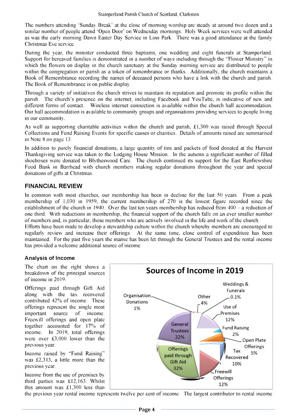The numbers attending 'Sunday Break" at the close of morning worship are steady at around two dozen and a similar number of people attend 'Open Door' on Wednesday mornings. Holy Week services were well attended as was the early morning Dawn Easter Day Service in Linn Park. There was a good attendance at the family Christmas Eve service.

During the year, the minister conducted three baptisms, one wedding and eight funerals at Stamperland. Support for bereaved families is demonstrated in a number of ways including through the "Flower Ministry'' in which the flowers on display in the church sanctuary at the Sunday morning service are distributed to people within the congregation or parish as a token of remembrance or thanks. Additionally, the church maintains a Book of Remembrance recording the names of deceased persons who have a link with the church and parish. The Book of Remembrance is on public display.

Through a variety of initiatives the church strives to maintain its reputation and promote its profile within the parish. The church's presence on the internet, including Facebook and YouTube, is indicative of new and different forms of contact. Wireless internet connection is available within the church hall accommodation. Our hall accommodation is available to community groups and organisations providing services to people living in our community.

As well as supporting charitable activities within the church and parish. £1,300 was raised through Special Collections and Fund Raising Events for specific causes or charities. Details of amounts raised arc summarised in Note 8 on page 13.

In addition to purely financial donations, a large quantity of tins and packets of food donated at the Harvest Thanksgiving service was taken to the Lodging House Mission. In the autumn a significant number of filled shoeboxes were donated to Blytheswood Care. The church continued its support for the East Renfrewshire Food Bank in Barrhead with church members making regular donations throughout the year and special donations of gifts at Christmas.

## **FINANCIAL REVIEW**

In common with most churches, our membership has been in decline for the last 50 years. From a peak membership of 1,030 in 1959. the current membership of 270 is the lowest figure recorded since the establishment of the church in 1940. Over the last ten years membership has reduced from  $400 - a$  reduction of one third. With reductions in membership, the financial support of the church falls on an ever smaller number of members and. in particular, those members who are actively involved in the life and work of the church. Efforts have been made to develop a stewardship culture within the church whereby members are encouraged to regularly review and increase their offerings. At the same time, close control of expenditure has been maintained. For the past five years the manse has been let through die General Trustees and the rental income has provided a welcome additional source of income.

## **Analysis of Income**

The chart on the right shows a breakdown of the principal sources of income in 2019.

Offerings paid through Gift Aid along with the tax recovered contributed 42% of income. These offerings represent the single most important source of income. Freewill offerings and open plate together accounted for 17% of income. In 2019. total offerings were over £3,000 lower than the previous year.

Income raised by ''Fund Raising"' was £2,313, a little more than the previous year.

Income from the use of premises by third parties was £12,163. Whilst this amount was £1,300 less than



die previous year rental income represents twelve per cent of income. The largest contributor to rental income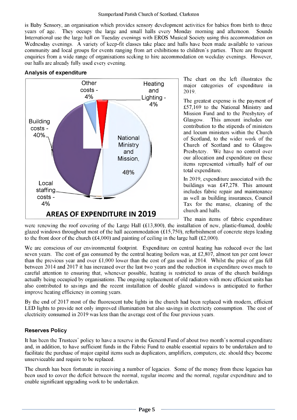is Baby Sensory, an organisation which provides sensory development activities for babies from birth to three years of age. They occupy the large and small halls every Monday morning and afternoon. Sounds International use the large hall on Tuesday evenings with EROS Musical Society using this accommodation on Wednesday evenings. A variety of keep-fit classes take place and halls have been made available to various community and local groups for events ranging from art exhibitions to children's parties. There are frequent enquiries from a wide range of organisations seeking to hire accommodation on weekday evenings. However, our halls are already fully used every evening.

## **Analysis of expenditure**



The chart on the left illustrates the major categories of expenditure in 2019.

The greatest expense is the payment of £57,169 to the National Ministry and Mission Fund and to the Presbytery of Glasgow. This amount includes our contribution to the stipends of ministers and locum ministers within the Church of Scotland, to the wider work of the Church of Scotland and to Glasgow Presbytery. We have no control over our allocation and expenditure on these items represented virtually half of our total expenditure.

In 2019, expenditure associated with the buildings was £47,278. This amount includes fabric repair and maintenance as well as building insurances, Council Tax for the manse, cleaning of the church and halls.

The main items of fabric expenditure

were renewing the roof covering of the Large Hall (£13,800), the installation of new, plastic-framed, double glazed windows throughout most of the hall accommodation  $(\text{\textsterling}15,750)$ , refurbishment of concrete steps leading to the front door of the church (£4,000) and painting of ceiling in the large hall (£2,000).

We are conscious of our environmental footprint. Expenditure on central heating has reduced over the last seven years. The cost of gas consumed by the central heating boilers was, at £2,807, almost ten per cent lower than the previous year and over £1,000 lower than the cost of gas used in 2014. Whilst the price of gas fell between 2014 and 2017 it has increased over the last two years and the reduction in expenditure owes much to careful attention to ensuring that, whenever possible, heating is restricted to areas of the church buildings actually being occupied by organisations. The ongoing replacement of old radiators with more efficient units has also contributed to savings and the recent installation of double glazed windows is anticipated to further improve heating efficiency in coming years.

By the end of 2017 most of the fluorescent tube lights in the church had been replaced with modem, efficient LED lights to provide not only improved illumination but also savings in electricity consumption. The cost of electricity consumed in 2019 was less than the average cost of the four previous years.

## **Reserves Policy**

It has been the Trustees' policy to have a reserve in the General Fund of about two month's normal expenditure and, in addition, to have sufficient funds in the Fabric Fund to enable essential repairs to be undertaken and to facilitate the purchase of major capital items such as duplicators, amplifiers, computers, etc. should they become unserviceable and require to be replaced.

The church has been fortunate in receiving a number of legacies. Some of the money from these legacies has been used to cover the deficit between the normal, regular income and the normal, regular expenditure and to enable significant upgrading work to be undertaken.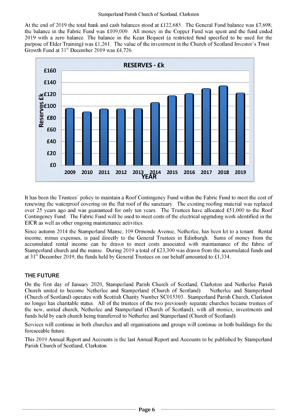At the end of 2019 the total bank and cash balances stood at £122,685. The General Fund balance was £7,698; the balance in the Fabric Fund was £109,000. All money in the Copper Fund was spent and the fund ended 2019 with a zero balance. The balance in the Kean Bequest (a restricted fund specified to be used for the purpose of Elder Training) was £1,261. The value of the investment in the Church of Scotland Investor's Trust Growth Fund at 31<sup>st</sup> December 2019 was £4,726.



It has been the Trustees' policy to maintain a Roof Contingency Fund within the Fabric Fund to meet the cost of renewing the waterproof covering on the flat roof of the sanctuary. The existing roofing material was replaced over 25 years ago and was guaranteed for only ten years. The Trustees have allocated £51,000 to the Roof Contingency Fund. The Fabric Fund will be used to meet costs of the electrical upgrading work identified in the EICR as well as other ongoing maintenance activities.

Since autumn 2014 the Stamperland Manse, 109 Ormonde Avenue, Netherlee, has been let to a tenant. Rental income, minus expenses, is paid directly to the General Trustees in Edinburgh. Sums of money from the accumulated rental income can be drawn to meet costs associated with maintainance of the fabric of Stamperland church and the manse. During 2019 a total of £23,300 was drawn from the accumulated funds and at 31<sup>st</sup> December 2019, the funds held by General Trustees on our behalf amounted to £1,334.

## **THE FUTURE**

On the first day of January 2020, Stamperland Parish Church of Scotland, Clarkston and Netherlee Parish Church united to become Netherlee and Stamperland (Church of Scotland). Netherlee and Stamperland (Church of Scotland) operates with Scottish Charity Number SC015303. Stamperland Parish Church, Clarkston no longer has charitable status. All of the trustees of the two previously separate churches became trustees of the new, united church, Netherlee and Stamperland (Church of Scotland), with all monies, investments and funds held by each church being transferred to Netherlee and Stamperland (Church of Scotland).

Services will continue in both churches and all organisations and groups will continue in both buildings for the foreseeable future.

This 2019 Annual Report and Accounts is the last Annual Report and Accounts to be published by Stamperland Parish Church of Scotland, Clarkston.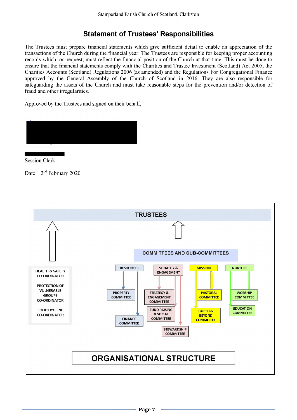## **Statement of Trustees' Responsibilities**

The Trustees must prepare financial statements which give sufficient detail to enable an appreciation of the transactions of the Church during the financial year. The Trustees are responsible for keeping proper accounting records which, on request, must reflect the financial position of the Church at that time. This must be done to ensure that the financial statements comply with the Charities and Trustee Investment (Scotland) Act 2005, the Charities Accounts (Scotland) Regulations 2006 (as amended) and the Regulations For Congregational Finance approved by the General Assembly of the Church of Scotland in 2016. They are also responsible for safeguarding the assets of the Church and must take reasonable steps for the prevention and/or detection of fraud and other irregularities.

Approved by the Trustees and signed on their behalf,



........................... Session Clerk

Date  $2<sup>nd</sup>$  February 2020

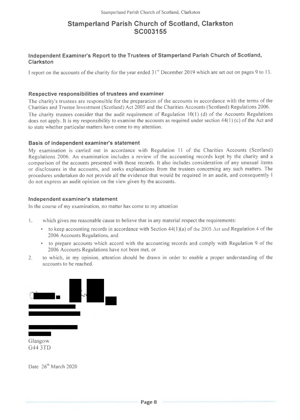## **Stamperland Parish Church of Scotland, Clarkston SC003155**

## **Independent Examiner's Report to the Trustees of Stamperland Parish Church of Scotland, Clarkston**

I report on the accounts of the charity for the year ended  $31<sup>st</sup>$  December 2019 which are set out on pages 9 to 13.

## **Respective responsibilities of trustees and examiner**

The charity's trustees are responsible for the preparation of the accounts in accordance with the terms of the Charities and Trustee Investment (Scotland) Act 2005 and the Charities Accounts (Scotland) Regulations 2006. The charity trustees consider that the audit requirement of Regulation 10(1) (d) of the Accounts Regulations does not apply. It is my responsibility to examine the accounts as required under section  $44(1)(c)$  of the Act and to state whether particular matters have come to my attention.

## **Basis of independent examiner's statement**

My examination is carried out in accordance with Regulation ll of the Charities Accounts (Scotland) Regulations 2006. An examination includes a review of the accounting records kept by the charity and a comparison of the accounts presented with those records. It also includes consideration of any unusual items or disclosures in the accounts, and seeks explanations from the trustees concerning any such matters. The procedures undertaken do not provide all the evidence that would be required in an audit, and consequently I do not express an audit opinion on the view given by the accounts.

## **Independent examiner's statement**

In the course of my examination, no matter has come to my attention

- 1. which gives me reasonable cause to believe that in any material respect the requirements:
	- to keep accounting records in accordance with Section 44( I )(a) of the 2005 Act and Regulation 4 of the 2006 Accounts Regulations, and
	- to prepare accounts which accord with the accounting records and comply with Regulation 9 of the 2006 Accounts Regulations have not been met. or
- 2. to which, in my opinion, attention should be drawn in order to enable a proper understanding of the accounts to be reached.



Date 26<sup>th</sup> March 2020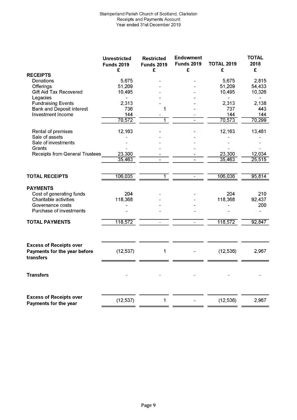|                                                                | <b>Unrestricted</b><br><b>Funds 2019</b><br>£ | <b>Restricted</b><br><b>Funds 2019</b><br>£ | <b>Endowment</b><br><b>Funds 2019</b><br>£ | <b>TOTAL 2019</b><br>£ | <b>TOTAL</b><br>2018<br>£ |
|----------------------------------------------------------------|-----------------------------------------------|---------------------------------------------|--------------------------------------------|------------------------|---------------------------|
| <b>RECEIPTS</b>                                                |                                               |                                             |                                            |                        |                           |
| Donations                                                      | 5,675                                         |                                             |                                            | 5,675                  | 2,815                     |
| Offerings                                                      | 51,209                                        |                                             |                                            | 51,209                 | 54,433                    |
| <b>Gift Aid Tax Recovered</b>                                  | 10,495                                        |                                             |                                            | 10,495                 | 10,326                    |
| Legacies<br><b>Fundraising Events</b>                          | 2,313                                         |                                             |                                            | 2,313                  | 2,138                     |
| <b>Bank and Deposit interest</b>                               | 736                                           | 1                                           |                                            | 737                    | 443.                      |
| Investment Income                                              | 144                                           |                                             |                                            | 144                    | 144                       |
|                                                                | 70,572                                        |                                             |                                            | 70,573                 | 70,299                    |
| Rental of premises                                             | 12,163                                        |                                             |                                            | 12,163                 | 13,481                    |
| Sale of assets                                                 |                                               |                                             |                                            |                        |                           |
| Sale of investments                                            |                                               |                                             |                                            |                        |                           |
| Grants<br><b>Receipts from General Trustees</b>                | 23,300                                        |                                             |                                            | 23,300                 | 12,034                    |
|                                                                | 35,463                                        |                                             |                                            | 35,463                 | 25,515                    |
|                                                                |                                               |                                             |                                            |                        |                           |
| <b>TOTAL RECEIPTS</b>                                          | 106,035                                       | 1                                           |                                            | 106,036                | 95,814                    |
| <b>PAYMENTS</b>                                                |                                               |                                             |                                            |                        |                           |
| Cost of generating funds                                       | 204                                           |                                             |                                            | 204                    | 210                       |
| Charitable activities                                          | 118,368                                       |                                             |                                            | 118,368                | 92,437                    |
| Governance costs                                               |                                               |                                             |                                            |                        | 200                       |
| Purchase of investments                                        |                                               |                                             |                                            |                        |                           |
| <b>TOTAL PAYMENTS</b>                                          | 118,572                                       |                                             |                                            | 118,572                | 92,847                    |
| <b>Excess of Receipts over</b>                                 |                                               |                                             |                                            |                        |                           |
| Payments for the year before<br>transfers                      | (12, 537)                                     | 1                                           |                                            | (12, 536)              | 2,967                     |
| <b>Transfers</b>                                               |                                               |                                             |                                            |                        |                           |
| <b>Excess of Receipts over</b><br><b>Payments for the year</b> | (12, 537)                                     | 1                                           |                                            | (12, 536)              | 2,967                     |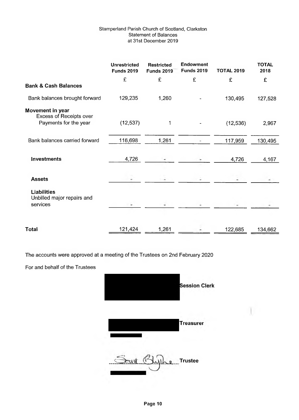## Stamperland Parish Church of Scotland, Clarkston Statement of Balances at 31st December 2019

|                                                                      | <b>Unrestricted</b><br><b>Funds 2019</b> | <b>Restricted</b><br><b>Funds 2019</b> | <b>Endowment</b><br><b>Funds 2019</b> | <b>TOTAL 2019</b> | <b>TOTAL</b><br>2018 |
|----------------------------------------------------------------------|------------------------------------------|----------------------------------------|---------------------------------------|-------------------|----------------------|
|                                                                      | £                                        | £                                      | £                                     | £                 | £                    |
| <b>Bank &amp; Cash Balances</b>                                      |                                          |                                        |                                       |                   |                      |
| Bank balances brought forward                                        | 129,235                                  | 1,260                                  |                                       | 130,495           | 127,528              |
| Movement in year<br>Excess of Receipts over<br>Payments for the year | (12, 537)                                | 1                                      |                                       | (12, 536)         | 2,967                |
| Bank balances carried forward                                        | 116,698                                  | 1,261                                  |                                       | 117,959           | 130,495              |
| <b>Investments</b>                                                   | 4,726                                    |                                        |                                       | 4,726             | 4,167                |
| <b>Assets</b>                                                        |                                          |                                        |                                       |                   |                      |
| <b>Liabilities</b><br>Unbilled major repairs and<br>services         |                                          |                                        |                                       |                   |                      |
| Total                                                                | 121,424                                  | 1,261                                  |                                       | 122,685           | 134,662              |

The accounts were approved at a meeting of the Trustees on 2nd February 2020

For and behalf of the Trustees

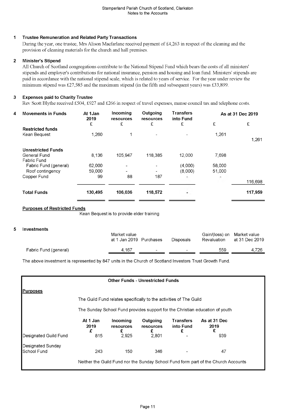## **1 Trustee Remuneration and Related Party Transactions**

During the year, one trustee, Mrs Alison Macfarlane received payment of £4,263 in respect of the cleaning and the provision of cleaning materials for the church and hall premises.

## **2 Minister's Stipend**

All Church of Scotland congregations contribute to the National Stipend Fund which bears the costs of all ministers' stipends and employer's contributions for national insurance, pension and housing and loan fund. Ministers' stipends are paid in accordance with the national stipend scale, which is related to years of service. For the year under review the minimum stipend was £27,585 and the maximum stipend (in the fifth and subsequent years) was £33,899.

## **3 Expenses paid to Charity Trustee**

Rev Scott Blythe received £504, £927 and £266 in respect of travel expenses, manse council tax and telephone costs.

| 4 | <b>Movements in Funds</b> | At 1Jan<br>2019 | Incoming<br>resources | Outgoing<br>resources | <b>Transfers</b><br>into Fund | As at 31 Dec 2019 |         |
|---|---------------------------|-----------------|-----------------------|-----------------------|-------------------------------|-------------------|---------|
|   |                           | £               | £                     | £                     | £                             | £                 | £       |
|   | <b>Restricted funds</b>   |                 |                       |                       |                               |                   |         |
|   | Kean Bequest              | 1.260           |                       | -                     |                               | 1,261             |         |
|   |                           |                 |                       |                       |                               |                   | 1,261   |
|   | <b>Unrestricted Funds</b> |                 |                       |                       |                               |                   |         |
|   | General Fund              | 8,136           | 105,947               | 118,385               | 12,000                        | 7,698             |         |
|   | Fabric Fund               |                 |                       |                       |                               |                   |         |
|   | Fabric Fund (general)     | 62,000          |                       |                       | (4,000)                       | 58,000            |         |
|   | Roof contingency          | 59,000          | ۰                     | ٠                     | (8,000)                       | 51,000            |         |
|   | Copper Fund               | 99              | 88                    | 187                   | ۰                             | ٠                 |         |
|   |                           |                 |                       |                       |                               |                   | 116,698 |
|   | <b>Total Funds</b>        | 130,495         | 106,036               | 118,572               | ٠                             |                   | 117,959 |

## **Purposes of Restricted Funds**

Kean Bequest is to provide elder training

#### **5 Investments**

|                       | Market value<br>at 1 Jan 2019 Purchases | <b>Disposals</b>         | Gain/(loss) on Market value<br>Revaluation | at 31 Dec 2019 |
|-----------------------|-----------------------------------------|--------------------------|--------------------------------------------|----------------|
| Fabric Fund (general) | 4.167<br>$\overline{\phantom{0}}$       | $\overline{\phantom{a}}$ | 559                                        | 4.726          |

The above investment is represented by 847 units in the Church of Scotland Investors Trust Growth Fund.

| <b>Other Funds - Unrestricted Funds</b>                                      |                       |                            |                                                                    |                                    |                                                                                    |  |  |
|------------------------------------------------------------------------------|-----------------------|----------------------------|--------------------------------------------------------------------|------------------------------------|------------------------------------------------------------------------------------|--|--|
| <u>Purposes</u>                                                              |                       |                            |                                                                    |                                    |                                                                                    |  |  |
|                                                                              |                       |                            | The Guild Fund relates specifically to the activities of The Guild |                                    |                                                                                    |  |  |
| The Sunday School Fund provides support for the Christian education of youth |                       |                            |                                                                    |                                    |                                                                                    |  |  |
|                                                                              | At 1 Jan<br>2019<br>£ | Incoming<br>resources<br>£ | Outgoing<br>resources<br>£                                         | <b>Transfers</b><br>into Fund<br>£ | As at 31 Dec<br>2019<br>£                                                          |  |  |
| Designated Guild Fund                                                        | 815                   | 2.925                      | 2,801                                                              |                                    | 939                                                                                |  |  |
| Designated Sunday<br>School Fund                                             | 243                   | 150                        | 346                                                                |                                    | 47                                                                                 |  |  |
|                                                                              |                       |                            |                                                                    |                                    | Neither the Guild Fund nor the Sunday School Fund form part of the Church Accounts |  |  |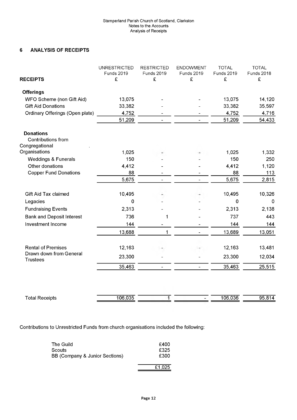## **6 ANALYSIS OF RECEIPTS**

|                                                          | <b>UNRESTRICTED</b><br><b>Funds 2019</b> | <b>RESTRICTED</b><br><b>Funds 2019</b> | <b>ENDOWMENT</b><br><b>Funds 2019</b> | <b>TOTAL</b><br>Funds 2019 | <b>TOTAL</b><br><b>Funds 2018</b> |
|----------------------------------------------------------|------------------------------------------|----------------------------------------|---------------------------------------|----------------------------|-----------------------------------|
| <b>RECEIPTS</b>                                          | £                                        | £                                      | £                                     | £                          | £                                 |
| <b>Offerings</b>                                         |                                          |                                        |                                       |                            |                                   |
| WFO Scheme (non Gift Aid)                                | 13,075                                   |                                        |                                       | 13,075                     | 14,120                            |
| <b>Gift Aid Donations</b>                                | 33,382                                   |                                        |                                       | 33,382                     | 35,597                            |
| Ordinary Offerings (Open plate)                          | 4,752                                    |                                        |                                       | 4,752                      | 4,716                             |
|                                                          | 51,209                                   |                                        |                                       | 51,209                     | 54,433                            |
| <b>Donations</b><br>Contributions from<br>Congregational |                                          |                                        |                                       |                            |                                   |
| Organisations                                            | 1,025                                    |                                        |                                       | 1,025                      | 1,332                             |
| <b>Weddings &amp; Funerals</b>                           | 150                                      |                                        |                                       | 150                        | 250                               |
| Other donations                                          | 4,412                                    |                                        |                                       | 4,412                      | 1,120                             |
| <b>Copper Fund Donations</b>                             | 88                                       |                                        |                                       | 88                         | 113                               |
|                                                          | 5,675                                    |                                        |                                       | 5,675                      | 2,815                             |
| Gift Aid Tax claimed                                     | 10,495                                   |                                        |                                       | 10,495                     | 10,326                            |
| Legacies                                                 | 0                                        |                                        |                                       | $\mathbf 0$                | $\mathbf 0$                       |
| <b>Fundraising Events</b>                                | 2,313                                    |                                        |                                       | 2,313                      | 2,138                             |
| <b>Bank and Deposit Interest</b>                         | 736                                      | 1                                      |                                       | 737                        | 443                               |
| Investment Income                                        | 144                                      |                                        |                                       | 144                        | 144                               |
|                                                          | 13,688                                   | 1                                      |                                       | 13,689                     | 13,051                            |
| <b>Rental of Premises</b>                                | 12,163                                   |                                        |                                       | 12,163                     | 13,481                            |
| Drawn down from General<br><b>Trustees</b>               | 23,300                                   |                                        |                                       | 23,300                     | 12,034                            |
|                                                          | 35,463                                   | $\overline{\phantom{a}}$               | $\overline{a}$                        | 35,463                     | 25,515                            |
|                                                          |                                          |                                        |                                       |                            |                                   |
| <b>Total Receipts</b>                                    | 106,035                                  | $\mathbf{1}$                           |                                       | 106,036                    | 95,814                            |

Contributions to Unrestricted Funds from church organisations included the following:

| The Guild                      | £400   |
|--------------------------------|--------|
| Scouts                         | £325   |
| BB (Company & Junior Sections) | £300   |
|                                | £1,025 |